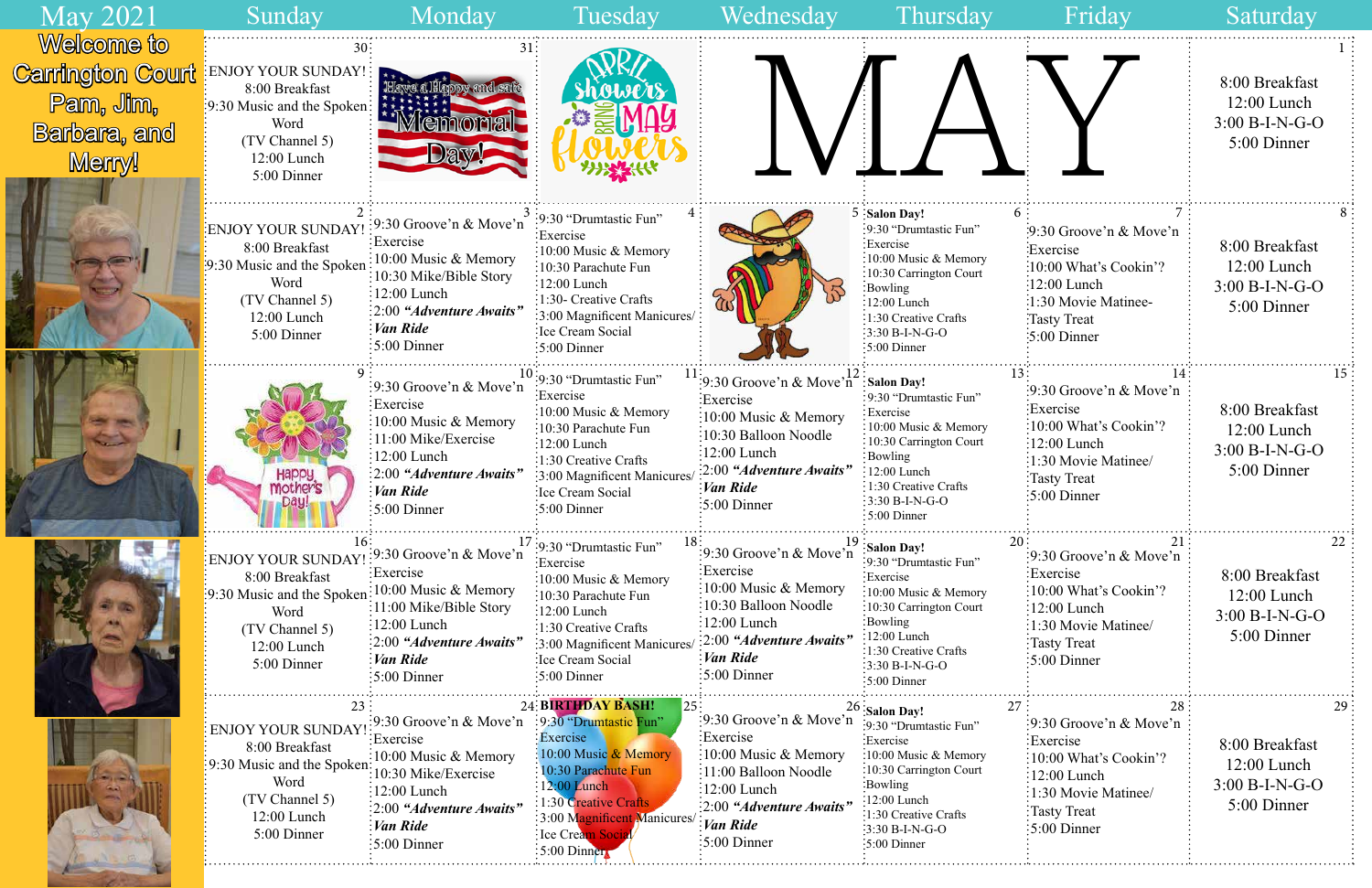| Friday                                                                                                                                                                           | Saturday                                                                 |
|----------------------------------------------------------------------------------------------------------------------------------------------------------------------------------|--------------------------------------------------------------------------|
|                                                                                                                                                                                  | L<br>8:00 Breakfast<br>$12:00$ Lunch<br>$3:00 B-I-N-G-O$<br>5:00 Dinner  |
| 6<br>7<br>$\cdot 9:30$ Groove'n & Move'n<br>Exercise<br>$\frac{10:00 \text{ What's Cookin'}?}{}$<br>:12:00 Lunch<br>:1:30 Movie Matinee-<br>Tasty Treat<br>$\approx 5:00$ Dinner | 8<br>8:00 Breakfast<br>$12:00$ Lunch<br>$3:00 B-I-N-G-O$<br>5:00 Dinner  |
| 13<br>14<br>9:30 Groove'n & Move'n<br>Exercise<br>10:00 What's Cookin'?<br>12:00 Lunch<br>1:30 Movie Matinee/<br><b>Tasty Treat</b><br>5:00 Dinner                               | 15<br>8:00 Breakfast<br>$12:00$ Lunch<br>$3:00 B-I-N-G-O$<br>5:00 Dinner |
| 20<br>21<br>9:30 Groove'n & Move'n<br>Exercise<br>10:00 What's Cookin'?<br>12:00 Lunch<br>1:30 Movie Matinee/<br><b>Tasty Treat</b><br>5:00 Dinner                               | 22<br>8:00 Breakfast<br>$12:00$ Lunch<br>$3:00 B-I-N-G-O$<br>5:00 Dinner |
| 27<br>28<br>9:30 Groove'n & Move'n<br>Exercise<br>10:00 What's Cookin'?<br>12:00 Lunch<br>1:30 Movie Matinee/<br><b>Tasty Treat</b><br>5:00 Dinner                               | 29<br>8:00 Breakfast<br>$12:00$ Lunch<br>$3:00 B-I-N-G-O$<br>5:00 Dinner |

| <b>May 2021</b>                                                                                    | Sunday                                                                                                                            | Monday                                                                                                                                                                                                                              | Tuesday                                                                                                                                                                                                                                   | Wednesday                                                                                                                                                                                                              | Thursday                                                                                                                                                                                                             | Friday                                                                                                                                                                                                        | Saturday                                                           |
|----------------------------------------------------------------------------------------------------|-----------------------------------------------------------------------------------------------------------------------------------|-------------------------------------------------------------------------------------------------------------------------------------------------------------------------------------------------------------------------------------|-------------------------------------------------------------------------------------------------------------------------------------------------------------------------------------------------------------------------------------------|------------------------------------------------------------------------------------------------------------------------------------------------------------------------------------------------------------------------|----------------------------------------------------------------------------------------------------------------------------------------------------------------------------------------------------------------------|---------------------------------------------------------------------------------------------------------------------------------------------------------------------------------------------------------------|--------------------------------------------------------------------|
| <b>Welcome to</b><br><b>Carrington Court</b><br>Pam, Jim,<br><b>Barbara</b> , and<br><b>Menry!</b> | ENJOY YOUR SUNDAY!<br>8:00 Breakfast<br>:9:30 Music and the Spoken<br>Word<br>(TV Channel 5)<br>12:00 Lunch<br>5:00 Dinner        |                                                                                                                                                                                                                                     |                                                                                                                                                                                                                                           |                                                                                                                                                                                                                        |                                                                                                                                                                                                                      |                                                                                                                                                                                                               | 8:00 Breakfast<br>$12:00$ Lunch<br>$3:00 B-I-N-G-O$<br>5:00 Dinner |
|                                                                                                    | <b>ENJOY YOUR SUNDAY</b><br>8:00 Breakfast<br>:9:30 Music and the Spoken<br>Word<br>(TV Channel 5)<br>12:00 Lunch<br>5:00 Dinner  | $\frac{1}{2}$ 9:30 Groove'n & Move'n<br>Exercise<br>:10:00 Music & Memory<br>:10:30 Mike/Bible Story<br>$\frac{1}{2}$ :00 Lunch<br>:2:00 "Adventure Awaits"<br>Van Ride<br>$\frac{1}{2}$ 5:00 Dinner                                | :9:30 "Drumtastic Fun"<br>:Exercise<br>:10:00 Music & Memory<br>:10:30 Parachute Fun<br>$:12:00$ Lunch<br>:1:30- Creative Crafts<br>:3:00 Magnificent Manicures/<br>:Ice Cream Social<br>:5:00 Dinner                                     |                                                                                                                                                                                                                        | $5:$ Salon Day!<br>:9:30 "Drumtastic Fun"<br>Exercise:<br>$\frac{1}{2}10:00$ Music & Memory<br>:10:30 Carrington Court<br>:Bowling<br>$:12:00$ Lunch<br>:1:30 Creative Crafts<br>$:3:30 B-I-N-G-O$<br>$:5:00$ Dinner | $\cdot 9:30$ Groove'n & Move'n<br>Exercise<br>:10:00 What's Cookin'?<br>:12:00 Lunch<br>:1:30 Movie Matinee-<br>Tasty Treat<br>$\frac{1}{2}$ :00 Dinner                                                       | 8:00 Breakfast<br>$12:00$ Lunch<br>$3:00 B-I-N-G-O$<br>5:00 Dinner |
|                                                                                                    | Happy                                                                                                                             | :9:30 Groove'n & Move'n<br>Exercise<br>10:00 Music & Memory<br>:11:00 Mike/Exercise<br>$:12:00$ Lunch<br>$\therefore$ 2:00 "Adventure Awaits"<br>$\frac{1}{2}$ <i>Van Ride</i><br>$:5:00$ Dinner                                    | $10:9:30$ "Drumtastic Fun"<br>:Exercise<br>:10:00 Music & Memory<br>:10:30 Parachute Fun<br>$\frac{1}{2}$ :00 Lunch<br>:1:30 Creative Crafts<br>3:00 Magnificent Manicures<br>:Ice Cream Social<br>:5:00 Dinner                           | :9:30 Groove'n & Move'n $^{12}$ : Salon Day!<br>Exercise<br>:10:00 Music & Memory<br>:10:30 Balloon Noodle<br>$\frac{12:00}{2}$ Lunch<br>:2:00 "Adventure Awaits"<br>Van Ride<br>$\frac{1}{2}5:00$ Dinner              | :9:30 "Drumtastic Fun"<br>Exercise<br>:10:00 Music & Memory<br>:10:30 Carrington Court<br>Bowling<br>12:00 Lunch<br>1:30 Creative Crafts<br>$\frac{1}{2}3:30 B-I-N-G-O$<br>$\frac{1}{2}$ 5:00 Dinner                 | :9:30 Groove'n $\&$ Move'n<br>Exercise<br>:10:00 What's Cookin'?<br>$\frac{1}{2}$ :00 Lunch<br>1:30 Movie Matinee/<br>Tasty Treat<br>$\frac{1}{2}$ :00 Dinner                                                 | 8:00 Breakfast<br>12:00 Lunch<br>$3:00 B-I-N-G-O$<br>5:00 Dinner   |
|                                                                                                    | ENJOY YOUR SUNDAY:<br>8:00 Breakfast<br>:9:30 Music and the Spoken<br>Word<br>(TV Channel 5)<br>12:00 Lunch<br>5:00 Dinner        | $\frac{1}{2}$ 9:30 Groove'n & Move'n<br>:Exercise<br>:10:00 Music & Memory<br>:11:00 Mike/Bible Story<br>$\frac{1}{2}$ :00 Lunch<br>:2:00 "Adventure Awaits"<br><i>Van Ride</i><br>$\frac{1}{2}$ 5:00 Dinner                        | :9:30 "Drumtastic Fun"<br>Exercise<br>:10:00 Music & Memory<br>$\frac{1}{2}10:30$ Parachute Fun<br>$:12:00$ Lunch<br>$\frac{1}{2}$ 1:30 Creative Crafts<br>:3:00 Magnificent Manicures/<br>:Ice Cream Social<br>$\frac{1}{2}$ 5:00 Dinner | $\frac{1}{2}$ 9:30 Groove'n & Move'n<br>Exercise<br>$\frac{1}{2}10:00$ Music & Memory<br>10:30 Balloon Noodle<br>:12:00 Lunch<br>:2:00 "Adventure Awaits"<br>$\frac{1}{2}$ <i>Van Ride</i><br>$\frac{1}{2}$ :00 Dinner | Salon Day!<br>:9:30 "Drumtastic Fun"<br>:Exercise<br>:10:00 Music & Memory<br>:10:30 Carrington Court<br>:Bowling<br>12:00 Lunch<br>:1:30 Creative Crafts<br>$3:30 B-I-N-G-O$<br>:5:00 Dinner                        | 20.<br>$\frac{1}{2}9:30$ Groove'n & Move'n $\frac{1}{2}$<br>Exercise<br>$\frac{10:00 \text{ What's Cookin?}}{2}$<br>$\frac{12:00}{2}$ Lunch<br>1:30 Movie Matinee/<br>Tasty Treat<br>$\frac{1}{2}5:00$ Dinner | 8:00 Breakfast<br>$12:00$ Lunch<br>3:00 B-I-N-G-O<br>5:00 Dinner   |
|                                                                                                    | <b>ENJOY YOUR SUNDAY</b><br>8:00 Breakfast<br>:9:30 Music and the Spoken:<br>Word<br>(TV Channel 5)<br>12:00 Lunch<br>5:00 Dinner | :9:30 Groove'n & Move'n :9:30 "Drumtastic Fun"<br>Exercise<br>$\frac{10:00 \text{ Music} \& \text{Memory}}$<br>10:30 Mike/Exercise<br>$\frac{1}{2}$ :00 Lunch<br>[2:00 "Adventure Awaits"<br>:Van Ride<br>$\frac{1}{2}$ 5:00 Dinner | 24: BIRTHDAY BASH!<br>: Exercise<br>$\frac{10:00 \text{ Music } \& \text{Memory}}$<br>10:30 Parachute Fun<br>$: 12:00$ Lunch<br>1:30 Creative Crafts<br>:3:00 Magnificent Manicures/<br>: Ice Cream Soci<br>$5:00$ Dinner                 | :9:30 Groove'n $\&$ Move'n<br>Exercise<br>:10:00 Music & Memory<br>:11:00 Balloon Noodle<br>12:00 Lunch<br>:2:00 "Adventure Awaits"<br>$\frac{1}{2}$ <i>Van Ride</i><br>$:5:00$ Dinner                                 | $26:$ Salon Day!<br>:9:30 "Drumtastic Fun"<br>Exercise<br>:10:00 Music & Memory<br>:10:30 Carrington Court<br>:Bowling<br>$:12:00$ Lunch<br>1:30 Creative Crafts<br>$:3:30 B-I-N-G-O$<br>$\frac{1}{2}$ 5:00 Dinner   | :9:30 Groove'n & Move'n<br>Exercise<br>:10:00 What's Cookin'?<br>$:12:00$ Lunch<br>:1:30 Movie Matinee/<br>:Tasty Treat<br>$\frac{1}{2}$ 5:00 Dinner                                                          | 8:00 Breakfast<br>$12:00$ Lunch<br>$3:00 B-I-N-G-O$<br>5:00 Dinner |